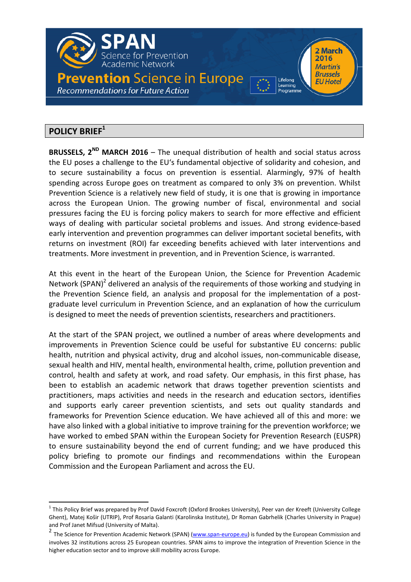

# POLICY BRIEF<sup>1</sup>

**BRUSSELS, 2<sup>ND</sup> MARCH 2016** – The unequal distribution of health and social status across the EU poses a challenge to the EU's fundamental objective of solidarity and cohesion, and to secure sustainability a focus on prevention is essential. Alarmingly, 97% of health spending across Europe goes on treatment as compared to only 3% on prevention. Whilst Prevention Science is a relatively new field of study, it is one that is growing in importance across the European Union. The growing number of fiscal, environmental and social pressures facing the EU is forcing policy makers to search for more effective and efficient ways of dealing with particular societal problems and issues. And strong evidence-based early intervention and prevention programmes can deliver important societal benefits, with returns on investment (ROI) far exceeding benefits achieved with later interventions and treatments. More investment in prevention, and in Prevention Science, is warranted.

At this event in the heart of the European Union, the Science for Prevention Academic Network (SPAN)<sup>2</sup> delivered an analysis of the requirements of those working and studying in the Prevention Science field, an analysis and proposal for the implementation of a postgraduate level curriculum in Prevention Science, and an explanation of how the curriculum is designed to meet the needs of prevention scientists, researchers and practitioners.

At the start of the SPAN project, we outlined a number of areas where developments and improvements in Prevention Science could be useful for substantive EU concerns: public health, nutrition and physical activity, drug and alcohol issues, non-communicable disease, sexual health and HIV, mental health, environmental health, crime, pollution prevention and control, health and safety at work, and road safety. Our emphasis, in this first phase, has been to establish an academic network that draws together prevention scientists and practitioners, maps activities and needs in the research and education sectors, identifies and supports early career prevention scientists, and sets out quality standards and frameworks for Prevention Science education. We have achieved all of this and more: we have also linked with a global initiative to improve training for the prevention workforce; we have worked to embed SPAN within the European Society for Prevention Research (EUSPR) to ensure sustainability beyond the end of current funding; and we have produced this policy briefing to promote our findings and recommendations within the European Commission and the European Parliament and across the EU.

 $^1$  This Policy Brief was prepared by Prof David Foxcroft (Oxford Brookes University), Peer van der Kreeft (University College Ghent), Matej Košir (UTRIP), Prof Rosaria Galanti (Karolinska Institute), Dr Roman Gabrhelik (Charles University in Prague) and Prof Janet Mifsud (University of Malta).

<sup>&</sup>lt;sup>2</sup> The Science for Prevention Academic Network (SPAN) (www.span-europe.eu) is funded by the European Commission and involves 32 institutions across 25 European countries. SPAN aims to improve the integration of Prevention Science in the higher education sector and to improve skill mobility across Europe.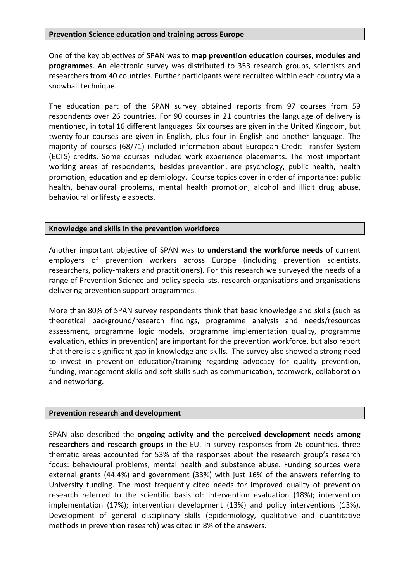#### Prevention Science education and training across Europe

One of the key objectives of SPAN was to map prevention education courses, modules and programmes. An electronic survey was distributed to 353 research groups, scientists and researchers from 40 countries. Further participants were recruited within each country via a snowball technique.

The education part of the SPAN survey obtained reports from 97 courses from 59 respondents over 26 countries. For 90 courses in 21 countries the language of delivery is mentioned, in total 16 different languages. Six courses are given in the United Kingdom, but twenty-four courses are given in English, plus four in English and another language. The majority of courses (68/71) included information about European Credit Transfer System (ECTS) credits. Some courses included work experience placements. The most important working areas of respondents, besides prevention, are psychology, public health, health promotion, education and epidemiology. Course topics cover in order of importance: public health, behavioural problems, mental health promotion, alcohol and illicit drug abuse, behavioural or lifestyle aspects.

### Knowledge and skills in the prevention workforce

Another important objective of SPAN was to understand the workforce needs of current employers of prevention workers across Europe (including prevention scientists, researchers, policy-makers and practitioners). For this research we surveyed the needs of a range of Prevention Science and policy specialists, research organisations and organisations delivering prevention support programmes.

More than 80% of SPAN survey respondents think that basic knowledge and skills (such as theoretical background/research findings, programme analysis and needs/resources assessment, programme logic models, programme implementation quality, programme evaluation, ethics in prevention) are important for the prevention workforce, but also report that there is a significant gap in knowledge and skills. The survey also showed a strong need to invest in prevention education/training regarding advocacy for quality prevention, funding, management skills and soft skills such as communication, teamwork, collaboration and networking.

#### Prevention research and development

SPAN also described the ongoing activity and the perceived development needs among researchers and research groups in the EU. In survey responses from 26 countries, three thematic areas accounted for 53% of the responses about the research group's research focus: behavioural problems, mental health and substance abuse. Funding sources were external grants (44.4%) and government (33%) with just 16% of the answers referring to University funding. The most frequently cited needs for improved quality of prevention research referred to the scientific basis of: intervention evaluation (18%); intervention implementation (17%); intervention development (13%) and policy interventions (13%). Development of general disciplinary skills (epidemiology, qualitative and quantitative methods in prevention research) was cited in 8% of the answers.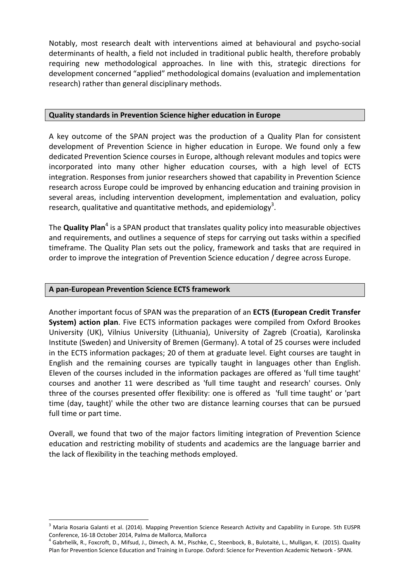Notably, most research dealt with interventions aimed at behavioural and psycho-social determinants of health, a field not included in traditional public health, therefore probably requiring new methodological approaches. In line with this, strategic directions for development concerned "applied" methodological domains (evaluation and implementation research) rather than general disciplinary methods.

### Quality standards in Prevention Science higher education in Europe

A key outcome of the SPAN project was the production of a Quality Plan for consistent development of Prevention Science in higher education in Europe. We found only a few dedicated Prevention Science courses in Europe, although relevant modules and topics were incorporated into many other higher education courses, with a high level of ECTS integration. Responses from junior researchers showed that capability in Prevention Science research across Europe could be improved by enhancing education and training provision in several areas, including intervention development, implementation and evaluation, policy research, qualitative and quantitative methods, and epidemiology<sup>3</sup>.

The **Quality Plan<sup>4</sup> is a SPAN product that translates quality policy into measurable objectives** and requirements, and outlines a sequence of steps for carrying out tasks within a specified timeframe. The Quality Plan sets out the policy, framework and tasks that are required in order to improve the integration of Prevention Science education / degree across Europe.

### A pan-European Prevention Science ECTS framework

Another important focus of SPAN was the preparation of an ECTS (European Credit Transfer System) action plan. Five ECTS information packages were compiled from Oxford Brookes University (UK), Vilnius University (Lithuania), University of Zagreb (Croatia), Karolinska Institute (Sweden) and University of Bremen (Germany). A total of 25 courses were included in the ECTS information packages; 20 of them at graduate level. Eight courses are taught in English and the remaining courses are typically taught in languages other than English. Eleven of the courses included in the information packages are offered as 'full time taught' courses and another 11 were described as 'full time taught and research' courses. Only three of the courses presented offer flexibility: one is offered as 'full time taught' or 'part time (day, taught)' while the other two are distance learning courses that can be pursued full time or part time.

Overall, we found that two of the major factors limiting integration of Prevention Science education and restricting mobility of students and academics are the language barrier and the lack of flexibility in the teaching methods employed.

<sup>&</sup>lt;sup>3</sup> Maria Rosaria Galanti et al. (2014). Mapping Prevention Science Research Activity and Capability in Europe. 5th EUSPR Conference, 16-18 October 2014, Palma de Mallorca, Mallorca

<sup>&</sup>lt;sup>4</sup> Gabrhelík, R., Foxcroft, D., Mifsud, J., Dimech, A. M., Pischke, C., Steenbock, B., Bulotaitė, L., Mulligan, K. (2015). Quality Plan for Prevention Science Education and Training in Europe. Oxford: Science for Prevention Academic Network - SPAN.